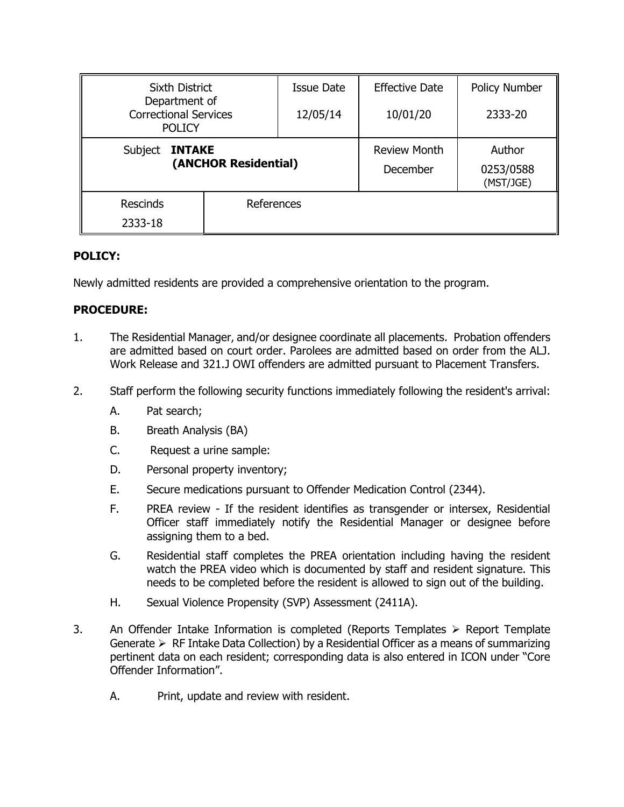| <b>Sixth District</b>                                          |            | Issue Date | <b>Effective Date</b> | <b>Policy Number</b>   |
|----------------------------------------------------------------|------------|------------|-----------------------|------------------------|
| Department of<br><b>Correctional Services</b><br><b>POLICY</b> |            | 12/05/14   | 10/01/20              | 2333-20                |
| Subject<br><b>INTAKE</b><br>(ANCHOR Residential)               |            |            | <b>Review Month</b>   | Author                 |
|                                                                |            |            | December              | 0253/0588<br>(MST/JGE) |
| <b>Rescinds</b>                                                | References |            |                       |                        |
| 2333-18                                                        |            |            |                       |                        |

## **POLICY:**

Newly admitted residents are provided a comprehensive orientation to the program.

## **PROCEDURE:**

- 1. The Residential Manager, and/or designee coordinate all placements. Probation offenders are admitted based on court order. Parolees are admitted based on order from the ALJ. Work Release and 321.J OWI offenders are admitted pursuant to Placement Transfers.
- 2. Staff perform the following security functions immediately following the resident's arrival:
	- A. Pat search;
	- B. Breath Analysis (BA)
	- C. Request a urine sample:
	- D. Personal property inventory;
	- E. Secure medications pursuant to Offender Medication Control (2344).
	- F. PREA review If the resident identifies as transgender or intersex, Residential Officer staff immediately notify the Residential Manager or designee before assigning them to a bed.
	- G. Residential staff completes the PREA orientation including having the resident watch the PREA video which is documented by staff and resident signature. This needs to be completed before the resident is allowed to sign out of the building.
	- H. Sexual Violence Propensity (SVP) Assessment (2411A).
- 3. An Offender Intake Information is completed (Reports Templates  $\triangleright$  Report Template Generate  $\triangleright$  RF Intake Data Collection) by a Residential Officer as a means of summarizing pertinent data on each resident; corresponding data is also entered in ICON under "Core Offender Information".
	- A. Print, update and review with resident.